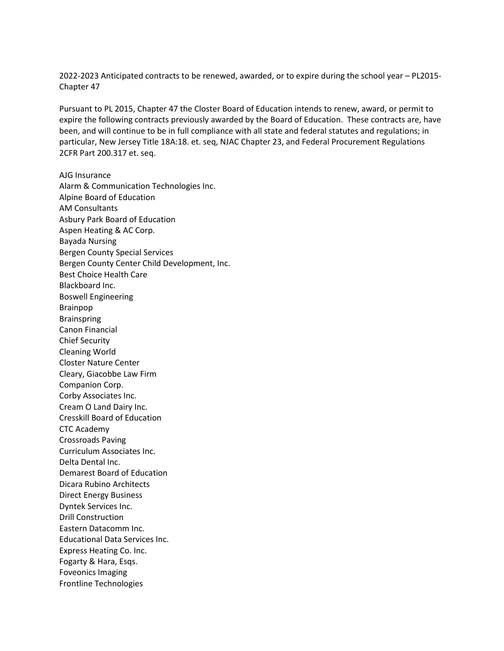2022-2023 Anticipated contracts to be renewed, awarded, or to expire during the school year – PL2015- Chapter 47

Pursuant to PL 2015, Chapter 47 the Closter Board of Education intends to renew, award, or permit to expire the following contracts previously awarded by the Board of Education. These contracts are, have been, and will continue to be in full compliance with all state and federal statutes and regulations; in particular, New Jersey Title 18A:18. et. seq, NJAC Chapter 23, and Federal Procurement Regulations 2CFR Part 200.317 et. seq.

AJG Insurance Alarm & Communication Technologies Inc. Alpine Board of Education AM Consultants Asbury Park Board of Education Aspen Heating & AC Corp. Bayada Nursing Bergen County Special Services Bergen County Center Child Development, Inc. Best Choice Health Care Blackboard Inc. Boswell Engineering Brainpop **Brainspring** Canon Financial Chief Security Cleaning World Closter Nature Center Cleary, Giacobbe Law Firm Companion Corp. Corby Associates Inc. Cream O Land Dairy Inc. Cresskill Board of Education CTC Academy Crossroads Paving Curriculum Associates Inc. Delta Dental Inc. Demarest Board of Education Dicara Rubino Architects Direct Energy Business Dyntek Services Inc. Drill Construction Eastern Datacomm Inc. Educational Data Services Inc. Express Heating Co. Inc. Fogarty & Hara, Esqs. Foveonics Imaging Frontline Technologies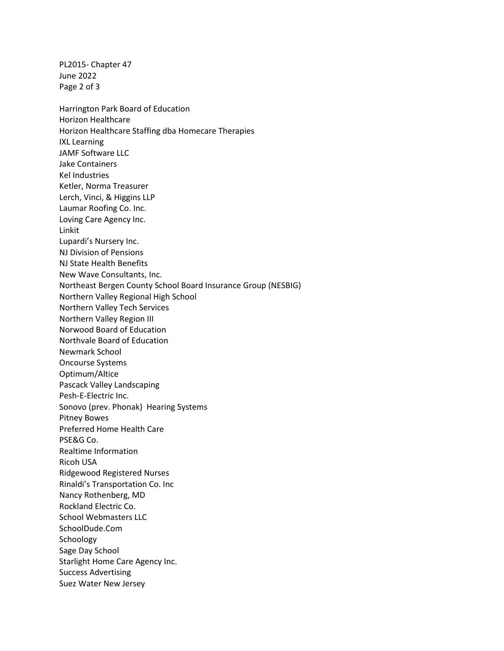PL2015- Chapter 47 June 2022 Page 2 of 3 Harrington Park Board of Education Horizon Healthcare Horizon Healthcare Staffing dba Homecare Therapies IXL Learning JAMF Software LLC Jake Containers Kel Industries Ketler, Norma Treasurer Lerch, Vinci, & Higgins LLP Laumar Roofing Co. Inc. Loving Care Agency Inc. Linkit Lupardi's Nursery Inc. NJ Division of Pensions NJ State Health Benefits New Wave Consultants, Inc. Northeast Bergen County School Board Insurance Group (NESBIG) Northern Valley Regional High School Northern Valley Tech Services Northern Valley Region III Norwood Board of Education Northvale Board of Education Newmark School Oncourse Systems Optimum/Altice Pascack Valley Landscaping Pesh-E-Electric Inc. Sonovo (prev. Phonak) Hearing Systems Pitney Bowes Preferred Home Health Care PSE&G Co. Realtime Information Ricoh USA Ridgewood Registered Nurses Rinaldi's Transportation Co. Inc Nancy Rothenberg, MD Rockland Electric Co. School Webmasters LLC SchoolDude.Com Schoology Sage Day School Starlight Home Care Agency Inc. Success Advertising Suez Water New Jersey